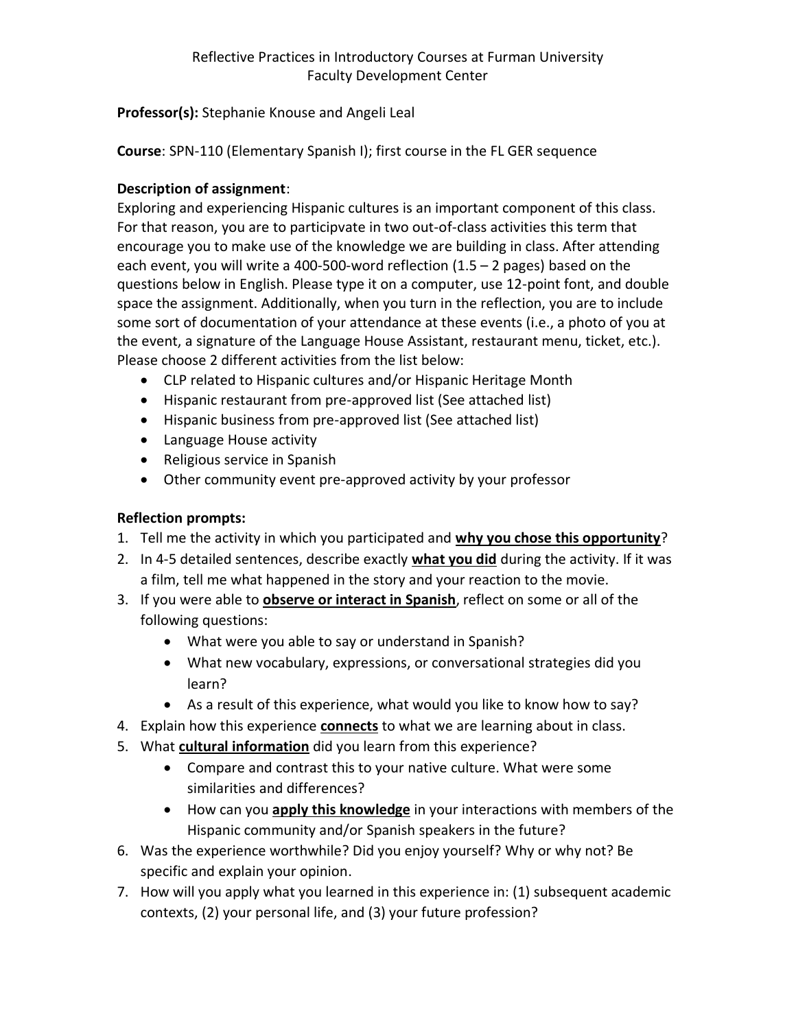## **Professor(s):** Stephanie Knouse and Angeli Leal

**Course**: SPN-110 (Elementary Spanish I); first course in the FL GER sequence

## **Description of assignment**:

Exploring and experiencing Hispanic cultures is an important component of this class. For that reason, you are to participvate in two out-of-class activities this term that encourage you to make use of the knowledge we are building in class. After attending each event, you will write a 400-500-word reflection (1.5 – 2 pages) based on the questions below in English. Please type it on a computer, use 12-point font, and double space the assignment. Additionally, when you turn in the reflection, you are to include some sort of documentation of your attendance at these events (i.e., a photo of you at the event, a signature of the Language House Assistant, restaurant menu, ticket, etc.). Please choose 2 different activities from the list below:

- CLP related to Hispanic cultures and/or Hispanic Heritage Month
- Hispanic restaurant from pre-approved list (See attached list)
- Hispanic business from pre-approved list (See attached list)
- Language House activity
- Religious service in Spanish
- Other community event pre-approved activity by your professor

## **Reflection prompts:**

- 1. Tell me the activity in which you participated and **why you chose this opportunity**?
- 2. In 4-5 detailed sentences, describe exactly **what you did** during the activity. If it was a film, tell me what happened in the story and your reaction to the movie.
- 3. If you were able to **observe or interact in Spanish**, reflect on some or all of the following questions:
	- What were you able to say or understand in Spanish?
	- What new vocabulary, expressions, or conversational strategies did you learn?
	- As a result of this experience, what would you like to know how to say?
- 4. Explain how this experience **connects** to what we are learning about in class.
- 5. What **cultural information** did you learn from this experience?
	- Compare and contrast this to your native culture. What were some similarities and differences?
	- How can you **apply this knowledge** in your interactions with members of the Hispanic community and/or Spanish speakers in the future?
- 6. Was the experience worthwhile? Did you enjoy yourself? Why or why not? Be specific and explain your opinion.
- 7. How will you apply what you learned in this experience in: (1) subsequent academic contexts, (2) your personal life, and (3) your future profession?